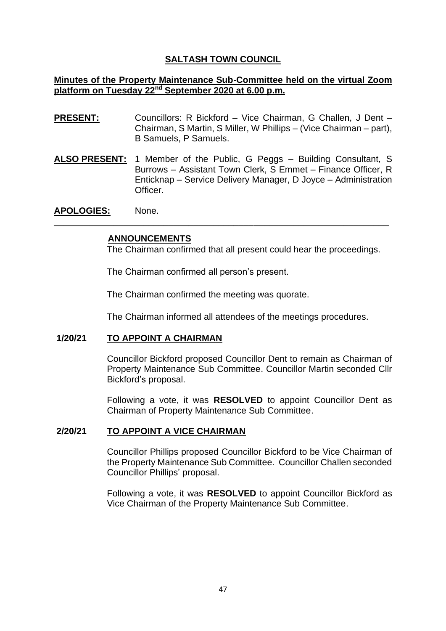# **SALTASH TOWN COUNCIL**

### **Minutes of the Property Maintenance Sub-Committee held on the virtual Zoom platform on Tuesday 22nd September 2020 at 6.00 p.m.**

- **PRESENT:** Councillors: R Bickford Vice Chairman, G Challen, J Dent Chairman, S Martin, S Miller, W Phillips – (Vice Chairman – part), B Samuels, P Samuels.
- **ALSO PRESENT:** 1 Member of the Public, G Peggs Building Consultant, S Burrows – Assistant Town Clerk, S Emmet – Finance Officer, R Enticknap – Service Delivery Manager, D Joyce – Administration Officer.

\_\_\_\_\_\_\_\_\_\_\_\_\_\_\_\_\_\_\_\_\_\_\_\_\_\_\_\_\_\_\_\_\_\_\_\_\_\_\_\_\_\_\_\_\_\_\_\_\_\_\_\_\_\_\_\_\_\_\_\_\_\_\_\_\_\_\_

**APOLOGIES:** None.

#### **ANNOUNCEMENTS**

The Chairman confirmed that all present could hear the proceedings.

The Chairman confirmed all person's present.

The Chairman confirmed the meeting was quorate.

The Chairman informed all attendees of the meetings procedures.

### **1/20/21 TO APPOINT A CHAIRMAN**

Councillor Bickford proposed Councillor Dent to remain as Chairman of Property Maintenance Sub Committee. Councillor Martin seconded Cllr Bickford's proposal.

Following a vote, it was **RESOLVED** to appoint Councillor Dent as Chairman of Property Maintenance Sub Committee.

#### **2/20/21 TO APPOINT A VICE CHAIRMAN**

Councillor Phillips proposed Councillor Bickford to be Vice Chairman of the Property Maintenance Sub Committee. Councillor Challen seconded Councillor Phillips' proposal.

Following a vote, it was **RESOLVED** to appoint Councillor Bickford as Vice Chairman of the Property Maintenance Sub Committee.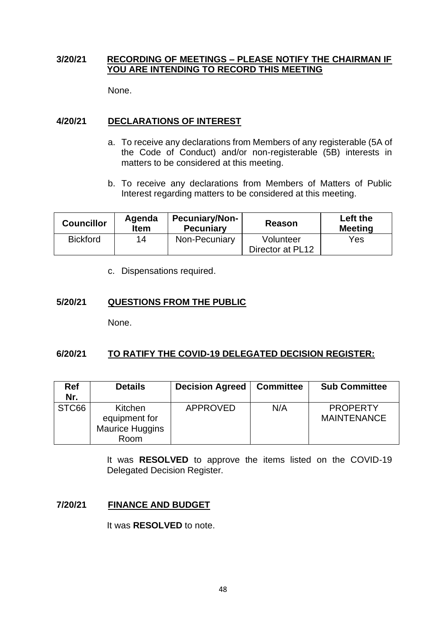# **3/20/21 RECORDING OF MEETINGS – PLEASE NOTIFY THE CHAIRMAN IF YOU ARE INTENDING TO RECORD THIS MEETING**

None.

# **4/20/21 DECLARATIONS OF INTEREST**

- a. To receive any declarations from Members of any registerable (5A of the Code of Conduct) and/or non-registerable (5B) interests in matters to be considered at this meeting.
- b. To receive any declarations from Members of Matters of Public Interest regarding matters to be considered at this meeting.

| <b>Councillor</b> | Agenda<br><b>Item</b> | <b>Pecuniary/Non-</b><br><b>Pecuniary</b> | Reason           | Left the<br><b>Meeting</b> |
|-------------------|-----------------------|-------------------------------------------|------------------|----------------------------|
| <b>Bickford</b>   | 14                    | Non-Pecuniary                             | Volunteer        | Yes                        |
|                   |                       |                                           | Director at PL12 |                            |

c. Dispensations required.

# **5/20/21 QUESTIONS FROM THE PUBLIC**

None.

# **6/20/21 TO RATIFY THE COVID-19 DELEGATED DECISION REGISTER:**

| <b>Ref</b><br>Nr. | <b>Details</b>                                             | <b>Decision Agreed</b> | <b>Committee</b> | <b>Sub Committee</b>                  |
|-------------------|------------------------------------------------------------|------------------------|------------------|---------------------------------------|
| STC66             | Kitchen<br>equipment for<br><b>Maurice Huggins</b><br>Room | <b>APPROVED</b>        | N/A              | <b>PROPERTY</b><br><b>MAINTENANCE</b> |

It was **RESOLVED** to approve the items listed on the COVID-19 Delegated Decision Register.

# **7/20/21 FINANCE AND BUDGET**

It was **RESOLVED** to note.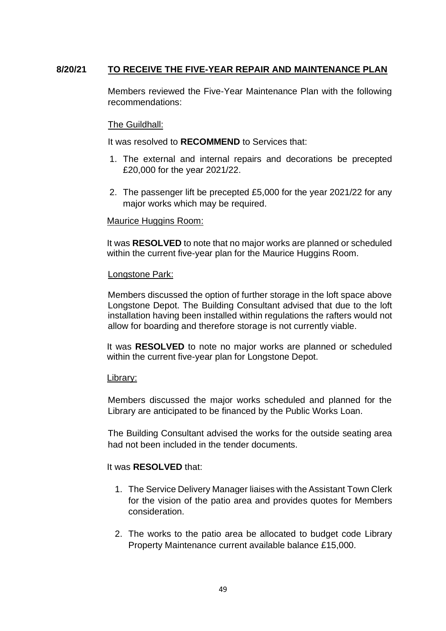# **8/20/21 TO RECEIVE THE FIVE-YEAR REPAIR AND MAINTENANCE PLAN**

Members reviewed the Five-Year Maintenance Plan with the following recommendations:

### The Guildhall:

It was resolved to **RECOMMEND** to Services that:

- 1. The external and internal repairs and decorations be precepted £20,000 for the year 2021/22.
- 2. The passenger lift be precepted £5,000 for the year 2021/22 for any major works which may be required.

#### Maurice Huggins Room:

It was **RESOLVED** to note that no major works are planned or scheduled within the current five-year plan for the Maurice Huggins Room.

#### Longstone Park:

Members discussed the option of further storage in the loft space above Longstone Depot. The Building Consultant advised that due to the loft installation having been installed within regulations the rafters would not allow for boarding and therefore storage is not currently viable.

It was **RESOLVED** to note no major works are planned or scheduled within the current five-year plan for Longstone Depot.

#### Library:

Members discussed the major works scheduled and planned for the Library are anticipated to be financed by the Public Works Loan.

The Building Consultant advised the works for the outside seating area had not been included in the tender documents.

# It was **RESOLVED** that:

- 1. The Service Delivery Manager liaises with the Assistant Town Clerk for the vision of the patio area and provides quotes for Members consideration.
- 2. The works to the patio area be allocated to budget code Library Property Maintenance current available balance £15,000.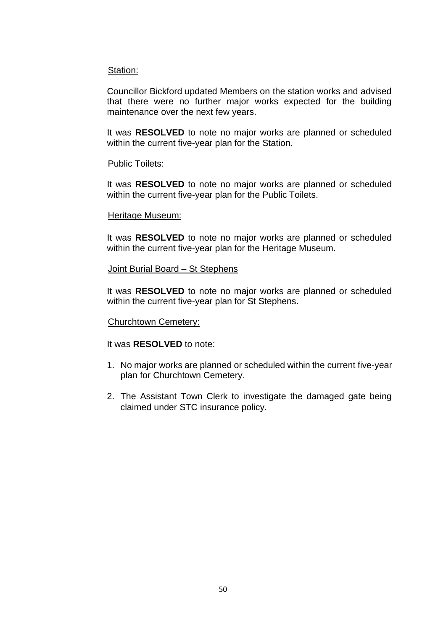#### Station:

Councillor Bickford updated Members on the station works and advised that there were no further major works expected for the building maintenance over the next few years.

It was **RESOLVED** to note no major works are planned or scheduled within the current five-year plan for the Station.

#### Public Toilets:

It was **RESOLVED** to note no major works are planned or scheduled within the current five-year plan for the Public Toilets.

#### Heritage Museum:

It was **RESOLVED** to note no major works are planned or scheduled within the current five-year plan for the Heritage Museum.

#### Joint Burial Board – St Stephens

It was **RESOLVED** to note no major works are planned or scheduled within the current five-year plan for St Stephens.

# Churchtown Cemetery:

#### It was **RESOLVED** to note:

- 1. No major works are planned or scheduled within the current five-year plan for Churchtown Cemetery.
- 2. The Assistant Town Clerk to investigate the damaged gate being claimed under STC insurance policy.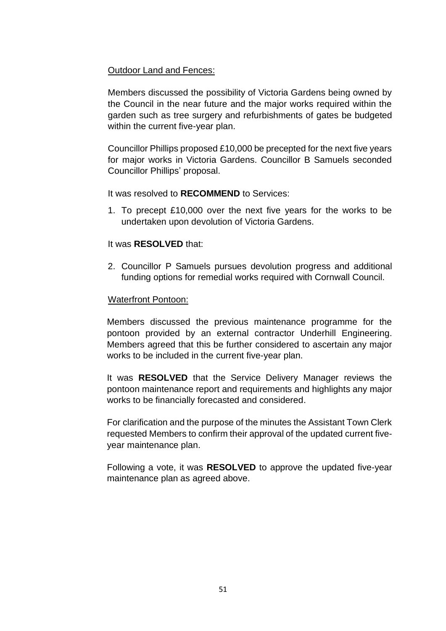# Outdoor Land and Fences:

Members discussed the possibility of Victoria Gardens being owned by the Council in the near future and the major works required within the garden such as tree surgery and refurbishments of gates be budgeted within the current five-year plan.

Councillor Phillips proposed £10,000 be precepted for the next five years for major works in Victoria Gardens. Councillor B Samuels seconded Councillor Phillips' proposal.

It was resolved to **RECOMMEND** to Services:

1. To precept £10,000 over the next five years for the works to be undertaken upon devolution of Victoria Gardens.

# It was **RESOLVED** that:

2. Councillor P Samuels pursues devolution progress and additional funding options for remedial works required with Cornwall Council.

# Waterfront Pontoon:

Members discussed the previous maintenance programme for the pontoon provided by an external contractor Underhill Engineering. Members agreed that this be further considered to ascertain any major works to be included in the current five-year plan.

It was **RESOLVED** that the Service Delivery Manager reviews the pontoon maintenance report and requirements and highlights any major works to be financially forecasted and considered.

For clarification and the purpose of the minutes the Assistant Town Clerk requested Members to confirm their approval of the updated current fiveyear maintenance plan.

Following a vote, it was **RESOLVED** to approve the updated five-year maintenance plan as agreed above.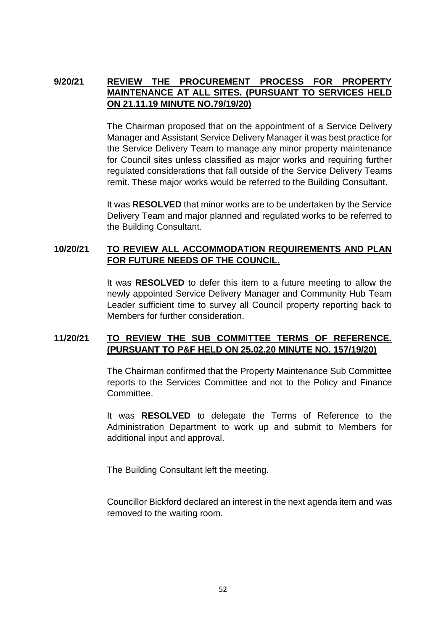# **9/20/21 REVIEW THE PROCUREMENT PROCESS FOR PROPERTY MAINTENANCE AT ALL SITES. (PURSUANT TO SERVICES HELD ON 21.11.19 MINUTE NO.79/19/20)**

The Chairman proposed that on the appointment of a Service Delivery Manager and Assistant Service Delivery Manager it was best practice for the Service Delivery Team to manage any minor property maintenance for Council sites unless classified as major works and requiring further regulated considerations that fall outside of the Service Delivery Teams remit. These major works would be referred to the Building Consultant.

It was **RESOLVED** that minor works are to be undertaken by the Service Delivery Team and major planned and regulated works to be referred to the Building Consultant.

# **10/20/21 TO REVIEW ALL ACCOMMODATION REQUIREMENTS AND PLAN FOR FUTURE NEEDS OF THE COUNCIL.**

It was **RESOLVED** to defer this item to a future meeting to allow the newly appointed Service Delivery Manager and Community Hub Team Leader sufficient time to survey all Council property reporting back to Members for further consideration.

# **11/20/21 TO REVIEW THE SUB COMMITTEE TERMS OF REFERENCE. (PURSUANT TO P&F HELD ON 25.02.20 MINUTE NO. 157/19/20)**

The Chairman confirmed that the Property Maintenance Sub Committee reports to the Services Committee and not to the Policy and Finance Committee.

It was **RESOLVED** to delegate the Terms of Reference to the Administration Department to work up and submit to Members for additional input and approval.

The Building Consultant left the meeting.

Councillor Bickford declared an interest in the next agenda item and was removed to the waiting room.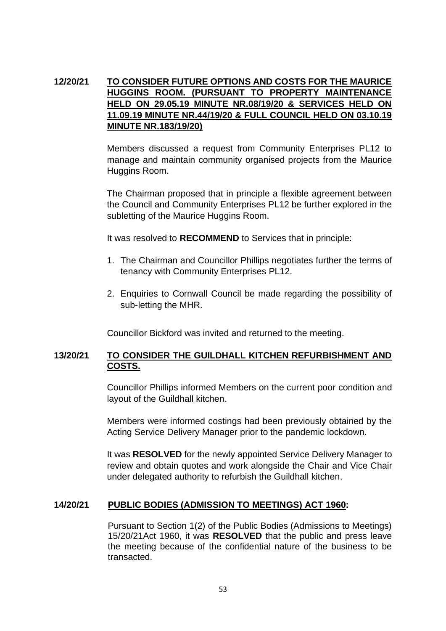# **12/20/21 TO CONSIDER FUTURE OPTIONS AND COSTS FOR THE MAURICE HUGGINS ROOM. (PURSUANT TO PROPERTY MAINTENANCE HELD ON 29.05.19 MINUTE NR.08/19/20 & SERVICES HELD ON 11.09.19 MINUTE NR.44/19/20 & FULL COUNCIL HELD ON 03.10.19 MINUTE NR.183/19/20)**

Members discussed a request from Community Enterprises PL12 to manage and maintain community organised projects from the Maurice Huggins Room.

The Chairman proposed that in principle a flexible agreement between the Council and Community Enterprises PL12 be further explored in the subletting of the Maurice Huggins Room.

It was resolved to **RECOMMEND** to Services that in principle:

- 1. The Chairman and Councillor Phillips negotiates further the terms of tenancy with Community Enterprises PL12.
- 2. Enquiries to Cornwall Council be made regarding the possibility of sub-letting the MHR.

Councillor Bickford was invited and returned to the meeting.

# **13/20/21 TO CONSIDER THE GUILDHALL KITCHEN REFURBISHMENT AND COSTS.**

Councillor Phillips informed Members on the current poor condition and layout of the Guildhall kitchen.

Members were informed costings had been previously obtained by the Acting Service Delivery Manager prior to the pandemic lockdown.

It was **RESOLVED** for the newly appointed Service Delivery Manager to review and obtain quotes and work alongside the Chair and Vice Chair under delegated authority to refurbish the Guildhall kitchen.

# **14/20/21 PUBLIC BODIES (ADMISSION TO MEETINGS) ACT 1960:**

Pursuant to Section 1(2) of the Public Bodies (Admissions to Meetings) 15/20/21Act 1960, it was **RESOLVED** that the public and press leave the meeting because of the confidential nature of the business to be transacted.